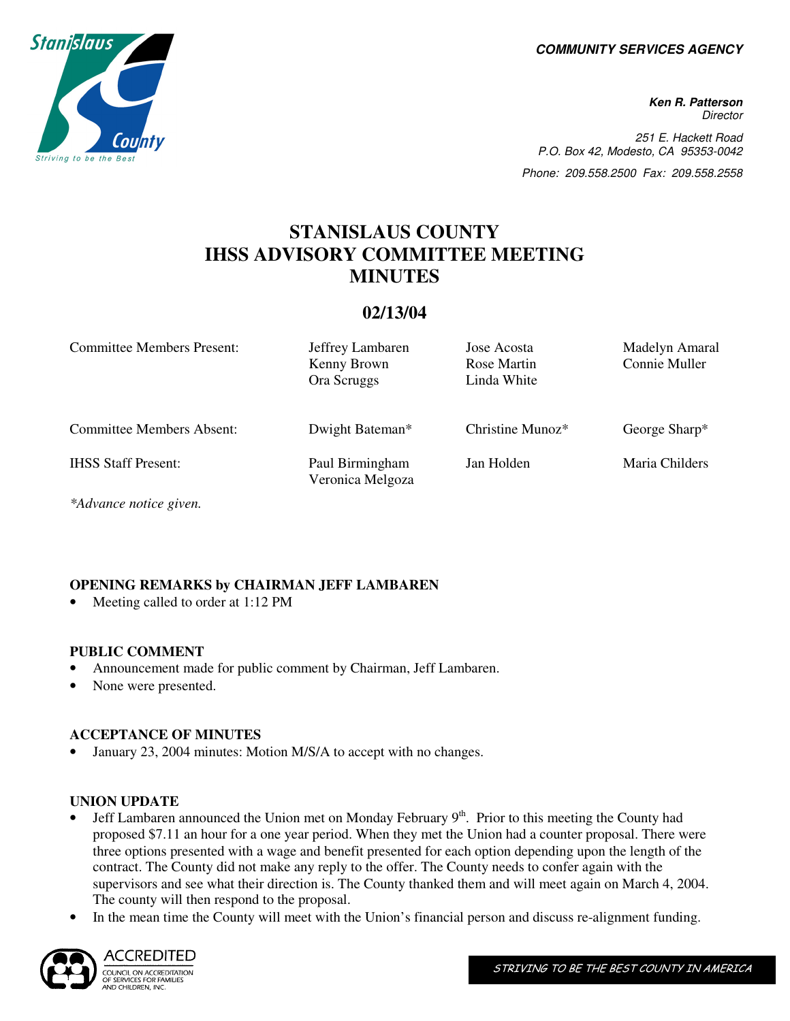**COMMUNITY SERVICES AGENCY** 

**Ken R. Patterson Director** 251 E. Hackett Road P.O. Box 42, Modesto, CA 95353-0042 Phone: 209.558.2500 Fax: 209.558.2558

# **STANISLAUS COUNTY IHSS ADVISORY COMMITTEE MEETING MINUTES**

## **02/13/04**

| <b>Committee Members Present:</b> | Jeffrey Lambaren<br>Kenny Brown<br>Ora Scruggs | Jose Acosta<br>Rose Martin<br>Linda White | Madelyn Amaral<br>Connie Muller |
|-----------------------------------|------------------------------------------------|-------------------------------------------|---------------------------------|
| <b>Committee Members Absent:</b>  | Dwight Bateman*                                | Christine Munoz $*$                       | George Sharp*                   |
| <b>IHSS Staff Present:</b>        | Paul Birmingham<br>Veronica Melgoza            | Jan Holden                                | Maria Childers                  |

*\*Advance notice given.* 

# **OPENING REMARKS by CHAIRMAN JEFF LAMBAREN**

Meeting called to order at 1:12 PM

## **PUBLIC COMMENT**

- Announcement made for public comment by Chairman, Jeff Lambaren.
- None were presented.

## **ACCEPTANCE OF MINUTES**

• January 23, 2004 minutes: Motion M/S/A to accept with no changes.

#### **UNION UPDATE**

- Jeff Lambaren announced the Union met on Monday February  $9<sup>th</sup>$ . Prior to this meeting the County had proposed \$7.11 an hour for a one year period. When they met the Union had a counter proposal. There were three options presented with a wage and benefit presented for each option depending upon the length of the contract. The County did not make any reply to the offer. The County needs to confer again with the supervisors and see what their direction is. The County thanked them and will meet again on March 4, 2004. The county will then respond to the proposal.
- In the mean time the County will meet with the Union's financial person and discuss re-alignment funding.



ACCREDITED COUNCIL ON ACCREDITATION OUNCE ON ACCREDIANT

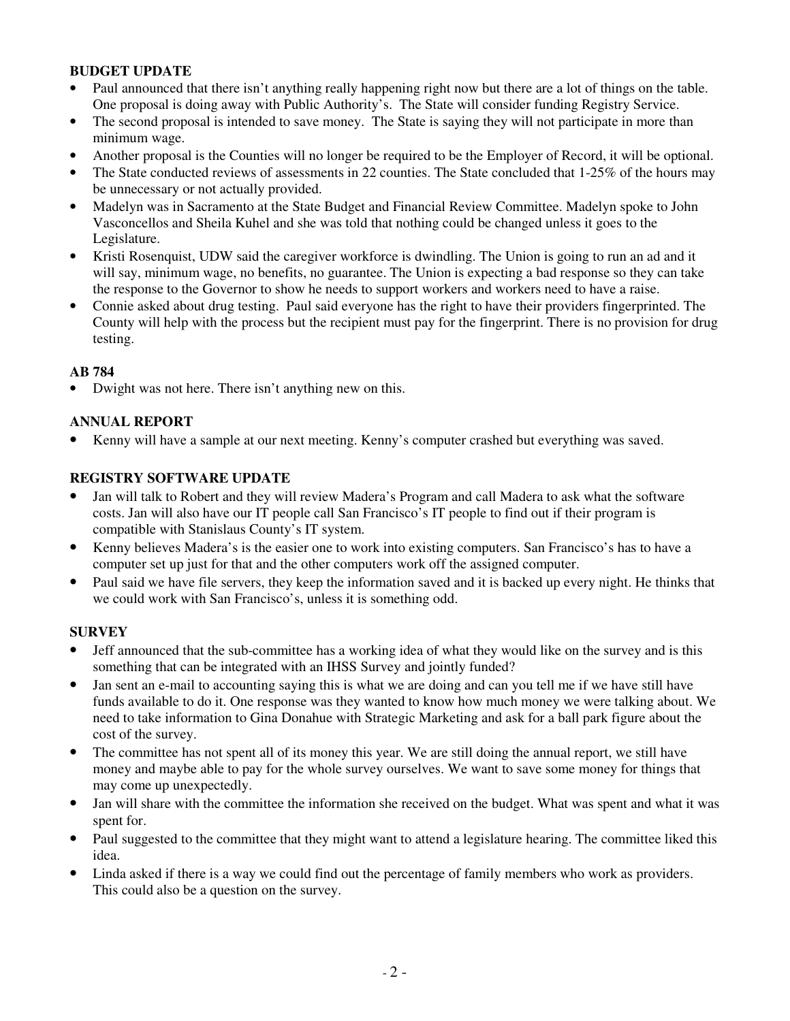## **BUDGET UPDATE**

- Paul announced that there isn't anything really happening right now but there are a lot of things on the table. One proposal is doing away with Public Authority's. The State will consider funding Registry Service.
- The second proposal is intended to save money. The State is saying they will not participate in more than minimum wage.
- Another proposal is the Counties will no longer be required to be the Employer of Record, it will be optional.
- The State conducted reviews of assessments in 22 counties. The State concluded that 1-25% of the hours may be unnecessary or not actually provided.
- Madelyn was in Sacramento at the State Budget and Financial Review Committee. Madelyn spoke to John Vasconcellos and Sheila Kuhel and she was told that nothing could be changed unless it goes to the Legislature.
- Kristi Rosenquist, UDW said the caregiver workforce is dwindling. The Union is going to run an ad and it will say, minimum wage, no benefits, no guarantee. The Union is expecting a bad response so they can take the response to the Governor to show he needs to support workers and workers need to have a raise.
- Connie asked about drug testing. Paul said everyone has the right to have their providers fingerprinted. The County will help with the process but the recipient must pay for the fingerprint. There is no provision for drug testing.

## **AB 784**

• Dwight was not here. There isn't anything new on this.

## **ANNUAL REPORT**

• Kenny will have a sample at our next meeting. Kenny's computer crashed but everything was saved.

## **REGISTRY SOFTWARE UPDATE**

- Jan will talk to Robert and they will review Madera's Program and call Madera to ask what the software costs. Jan will also have our IT people call San Francisco's IT people to find out if their program is compatible with Stanislaus County's IT system.
- Kenny believes Madera's is the easier one to work into existing computers. San Francisco's has to have a computer set up just for that and the other computers work off the assigned computer.
- Paul said we have file servers, they keep the information saved and it is backed up every night. He thinks that we could work with San Francisco's, unless it is something odd.

## **SURVEY**

- Jeff announced that the sub-committee has a working idea of what they would like on the survey and is this something that can be integrated with an IHSS Survey and jointly funded?
- Jan sent an e-mail to accounting saying this is what we are doing and can you tell me if we have still have funds available to do it. One response was they wanted to know how much money we were talking about. We need to take information to Gina Donahue with Strategic Marketing and ask for a ball park figure about the cost of the survey.
- The committee has not spent all of its money this year. We are still doing the annual report, we still have money and maybe able to pay for the whole survey ourselves. We want to save some money for things that may come up unexpectedly.
- Jan will share with the committee the information she received on the budget. What was spent and what it was spent for.
- Paul suggested to the committee that they might want to attend a legislature hearing. The committee liked this idea.
- Linda asked if there is a way we could find out the percentage of family members who work as providers. This could also be a question on the survey.